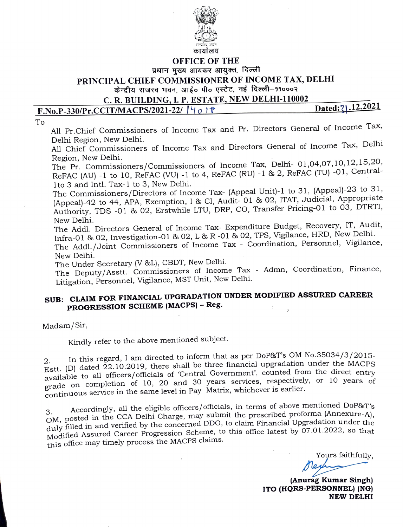

# OFFICE OF THE<br>प्रधान मुख्य आयकर आयुक्त, दिल्ली

PRINCIPAL CHIEF COMMISSIONER OF INCOME TAX, DELHI

केन्द्रीय राजस्व भवन, आई० पी० एस्टेट, नई दिल्ली–११०००२

## C. R. BUILDING,I. P. ESTATE, NEW DELHI-110002

## F.No.P-330/Pr.CCIT/MACPS/2021-22/ |  $\forall \circ \forall$  Dated: ?| .12.2021

To

All Pr.Chief Commissioners of Income Tax and Pr. Directors General of Income Tax, Delhi Region, New Delhi.

All Chief Commissioners of Income Tax and Directors General of Income Tax, Delhi Region, New Delhi.

The Pr. Commissioners/Commissioners of Income Tax, Delhi- 01,04,07,10,12, 15,20, ReFAC (AU) -1 to 10, ReFAC (VU) -1 to 4, ReFAC (RU) -1 & 2, ReFAC (TU) -01, Central-Ito 3 and Intl. Tax-1 to 3, New Delhi.

The Commissioners/Directors of Income Tax- (Appeal Unit)-1 to 31, (Appeal)-23 to 31, (Appeal)-42 to 44, APA, Exemption, I & CI, Audit- 01 & 02, ITAT, Judicial, Appropriate Authority, TDS -01 & 02, Erstwhile LTU, DRP, C0, Transfer Pricing-01 to 03, DTRTI, New Delhi.

The Addl. Directors General of Income Tax- Expenditure Budget, Recovery, IT, Audit, Infra-01 & 02, Investigation-01 & O2, L & R -01 & 02, TPS, Vigilance, HRD, New Delhi.

The Addl./Joint Commissioners of Income Tax - Coordination, Personnel, Vigilance, New Delhi.

The Under Secretary (V 8L), CBDT, New Delhi.

The Deputy/Asstt. Commissioners of Income Tax - Admn, Coordination, Finance, Litigation, Personnel, Vigilance, MST Unit, New Delhi.

## SUB: CLAIM FOR FINANCIAL UPGRADATION UNDER MODIFIED ASsURED CAREER PROGRESSION SCHEME (MACPS) - Reg.

Madam/Sir,

Kindly refer to the above mentioned subject.

2. In this regard, I am directed to inform that as per DoP&T's OM No.35034/3/2015-<br>Estt. (D) dated 22.10.2019, there shall be three financial upgradation under the MACPS available to all officers/officials of 'Central Government', counted from the direct entry grade on completion of 10, 20 and 30 years services, respectively, or 10 years of continuous service in the same level in Pay Matrix, whichever is earlier.

3. Accordingly, all the eligible officers/officials, in terms of above mentioned DoP&T's OM, posted in the CCA Delhi Charge, may submit the prescribed proforma (Annexure-A), duly filled in and verified by the concerned DDO, to claim Financial Upgradation under the Modified Assured Career Progression Scheme, to this office latest by 07.01.2022, so that this office may timely process the MACPS claims.

Yours faithfully,

ayh

(Anurag Kumar Singh) ITO (HQRS-PERSONNEL) (NG) NEW DELHI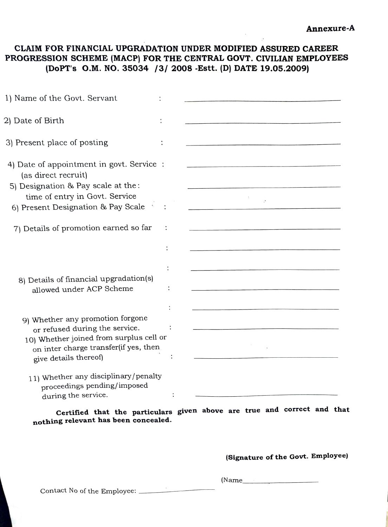## CLAIM FOR FINANCIAL UPGRADATION UNDER MODIFIED ASSURED CAREER PROGRESSION SCHEME (MACP) FOR THE CENTRAL GOVT. CIVILIAN EMPLOYEES (DoPTs O.M. NO. 35034 /3/ 2008 -Estt. (D) DATE 19.05.2009)

| 1) Name of the Govt. Servant                                                                                                                                                    |                                                                                                                                                                                                                                                                                                                      |
|---------------------------------------------------------------------------------------------------------------------------------------------------------------------------------|----------------------------------------------------------------------------------------------------------------------------------------------------------------------------------------------------------------------------------------------------------------------------------------------------------------------|
| 2) Date of Birth                                                                                                                                                                |                                                                                                                                                                                                                                                                                                                      |
| 3) Present place of posting                                                                                                                                                     |                                                                                                                                                                                                                                                                                                                      |
| 4) Date of appointment in govt. Service :<br>(as direct recruit)<br>5) Designation & Pay scale at the:                                                                          |                                                                                                                                                                                                                                                                                                                      |
| time of entry in Govt. Service<br>6) Present Designation & Pay Scale                                                                                                            |                                                                                                                                                                                                                                                                                                                      |
| 7) Details of promotion earned so far                                                                                                                                           | the contract of the contract of the contract of the contract of the contract of                                                                                                                                                                                                                                      |
|                                                                                                                                                                                 |                                                                                                                                                                                                                                                                                                                      |
| 8) Details of financial upgradation(s)<br>allowed under ACP Scheme                                                                                                              | <u> 1989 - Johann Harry Harry Harry Harry Harry Harry Harry Harry Harry Harry Harry Harry Harry Harry Harry Harry</u><br><u> 1989 - Johann Barbara, martin da kasar masa a shekara ta 1989 - An tsa a shekara tsa a shekara tsa a shekara</u><br><u> 1989 - Johann Stein, mars an deus Amerikaansk kommunister (</u> |
| 9) Whether any promotion forgone<br>or refused during the service.<br>10) Whether joined from surplus cell or<br>on inter charge transfer(if yes, then<br>give details thereof) | <u> 1989 - Johann Barbara, martin amerikan basal dan berasal dan berasal dalam basal dalam basal dalam basal dala</u>                                                                                                                                                                                                |
|                                                                                                                                                                                 |                                                                                                                                                                                                                                                                                                                      |

11) Whether any disciplinary/penalty proceedings pending/ imposed during the service.

Certified that the particulars given above are true and correct and that nothing relevant has been concealed.

 $\ddot{\cdot}$ 

(Signature of the Govt. Employee)

(Name

Contact No of the Employee: